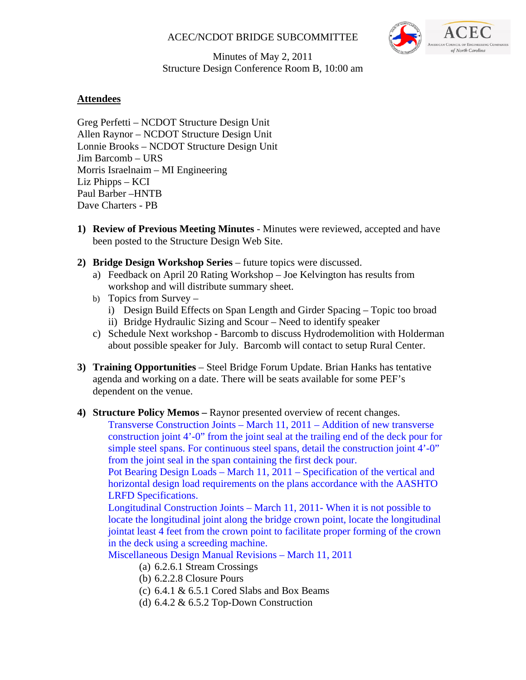#### ACEC/NCDOT BRIDGE SUBCOMMITTEE



#### Minutes of May 2, 2011 Structure Design Conference Room B, 10:00 am

## **Attendees**

Greg Perfetti – NCDOT Structure Design Unit Allen Raynor – NCDOT Structure Design Unit Lonnie Brooks – NCDOT Structure Design Unit Jim Barcomb – URS Morris Israelnaim – MI Engineering Liz Phipps – KCI Paul Barber –HNTB Dave Charters - PB

- **1) Review of Previous Meeting Minutes** Minutes were reviewed, accepted and have been posted to the Structure Design Web Site.
- **2) Bridge Design Workshop Series** future topics were discussed.
	- a) Feedback on April 20 Rating Workshop Joe Kelvington has results from workshop and will distribute summary sheet.
	- b) Topics from Survey
		- i) Design Build Effects on Span Length and Girder Spacing Topic too broad
		- ii) Bridge Hydraulic Sizing and Scour Need to identify speaker
	- c) Schedule Next workshop Barcomb to discuss Hydrodemolition with Holderman about possible speaker for July. Barcomb will contact to setup Rural Center.
- **3) Training Opportunities** Steel Bridge Forum Update. Brian Hanks has tentative agenda and working on a date. There will be seats available for some PEF's dependent on the venue.
- **4) Structure Policy Memos** Raynor presented overview of recent changes.

Transverse Construction Joints – March 11, 2011 – Addition of new transverse construction joint 4'-0" from the joint seal at the trailing end of the deck pour for simple steel spans. For continuous steel spans, detail the construction joint 4'-0" from the joint seal in the span containing the first deck pour.

Pot Bearing Design Loads – March 11, 2011 – Specification of the vertical and horizontal design load requirements on the plans accordance with the AASHTO LRFD Specifications.

Longitudinal Construction Joints – March 11, 2011- When it is not possible to locate the longitudinal joint along the bridge crown point, locate the longitudinal jointat least 4 feet from the crown point to facilitate proper forming of the crown in the deck using a screeding machine.

Miscellaneous Design Manual Revisions – March 11, 2011

- (a) 6.2.6.1 Stream Crossings
- (b) 6.2.2.8 Closure Pours
- (c)  $6.4.1 \& 6.5.1$  Cored Slabs and Box Beams
- (d) 6.4.2 & 6.5.2 Top-Down Construction